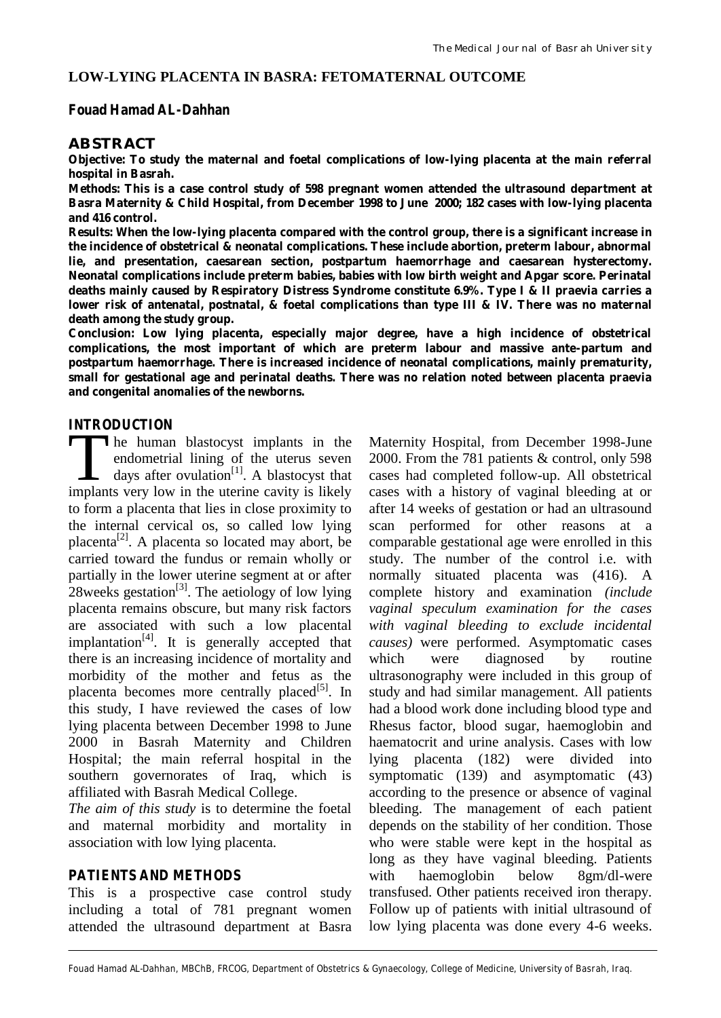# **LOW-LYING PLACENTA IN BASRA: FETOMATERNAL OUTCOME**

### **Fouad Hamad AL-Dahhan**

# **ABSTRACT**

*Objective: To study the maternal and foetal complications of low-lying placenta at the main referral hospital in Basrah.*

*Methods: This is a case control study of 598 pregnant women attended the ultrasound department at Basra Maternity & Child Hospital, from December 1998 to June 2000; 182 cases with low-lying placenta and 416 control.*

*Results: When the low-lying placenta compared with the control group, there is a significant increase in the incidence of obstetrical & neonatal complications. These include abortion, preterm labour, abnormal lie, and presentation, caesarean section, postpartum haemorrhage and caesarean hysterectomy. Neonatal complications include preterm babies, babies with low birth weight and Apgar score. Perinatal deaths mainly caused by Respiratory Distress Syndrome constitute 6.9%. Type I & II praevia carries a lower risk of antenatal, postnatal, & foetal complications than type III & IV. There was no maternal death among the study group.*

*Conclusion: Low lying placenta, especially major degree, have a high incidence of obstetrical complications, the most important of which are preterm labour and massive ante-partum and postpartum haemorrhage. There is increased incidence of neonatal complications, mainly prematurity, small for gestational age and perinatal deaths. There was no relation noted between placenta praevia and congenital anomalies of the newborns.*

### **INTRODUCTION**

he human blastocyst implants in the endometrial lining of the uterus seven days after ovulation<sup>[1]</sup>. A blastocyst that The human blastocyst implants in the endometrial lining of the uterus seven days after ovulation<sup>[1]</sup>. A blastocyst that implants very low in the uterine cavity is likely to form a placenta that lies in close proximity to the internal cervical os, so called low lying placenta<sup>[2]</sup>. A placenta so located may abort, be carried toward the fundus or remain wholly or partially in the lower uterine segment at or after 28 weeks gestation<sup>[3]</sup>. The aetiology of low lying placenta remains obscure, but many risk factors are associated with such a low placental implantation<sup>[4]</sup>. It is generally accepted that there is an increasing incidence of mortality and morbidity of the mother and fetus as the placenta becomes more centrally placed<sup>[5]</sup>. In this study, I have reviewed the cases of low lying placenta between December 1998 to June 2000 in Basrah Maternity and Children Hospital; the main referral hospital in the southern governorates of Iraq, which is affiliated with Basrah Medical College.

*The aim of this study* is to determine the foetal and maternal morbidity and mortality in association with low lying placenta.

### **PATIENTS AND METHODS**

This is a prospective case control study including a total of 781 pregnant women attended the ultrasound department at Basra Maternity Hospital, from December 1998-June 2000. From the 781 patients & control, only 598 cases had completed follow-up. All obstetrical cases with a history of vaginal bleeding at or after 14 weeks of gestation or had an ultrasound scan performed for other reasons at a comparable gestational age were enrolled in this study. The number of the control i.e. with normally situated placenta was (416). A complete history and examination *(include vaginal speculum examination for the cases with vaginal bleeding to exclude incidental causes)* were performed. Asymptomatic cases which were diagnosed by routine ultrasonography were included in this group of study and had similar management. All patients had a blood work done including blood type and Rhesus factor, blood sugar, haemoglobin and haematocrit and urine analysis. Cases with low lying placenta (182) were divided into symptomatic (139) and asymptomatic (43) according to the presence or absence of vaginal bleeding. The management of each patient depends on the stability of her condition. Those who were stable were kept in the hospital as long as they have vaginal bleeding. Patients with haemoglobin below 8gm/dl-were transfused. Other patients received iron therapy. Follow up of patients with initial ultrasound of low lying placenta was done every 4-6 weeks.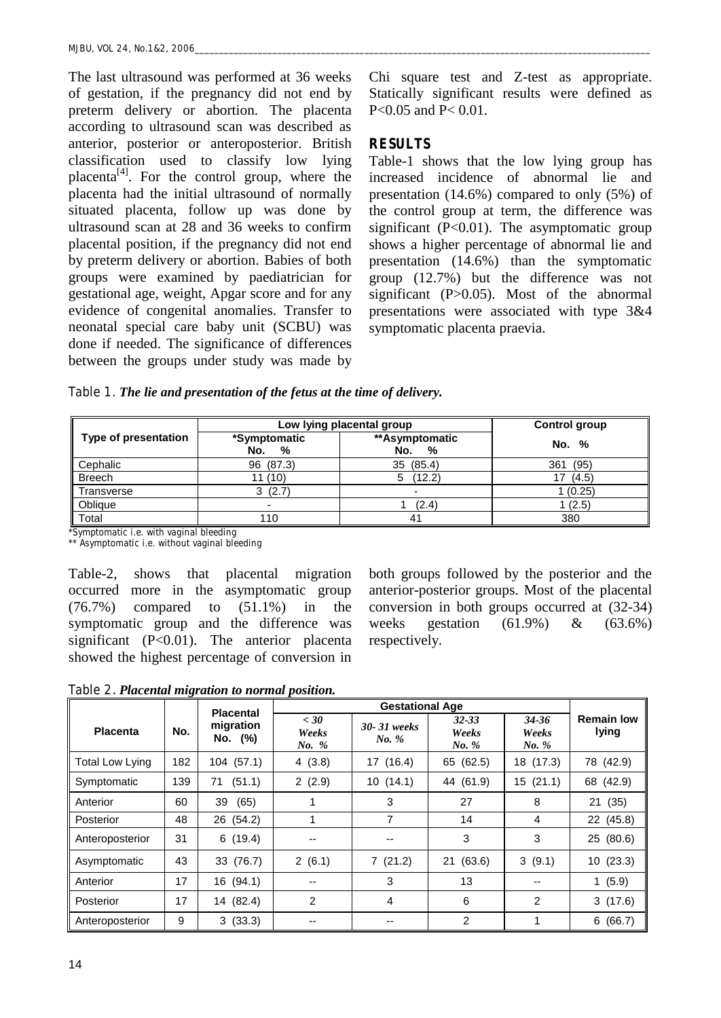The last ultrasound was performed at 36 weeks of gestation, if the pregnancy did not end by preterm delivery or abortion. The placenta according to ultrasound scan was described as anterior, posterior or anteroposterior. British classification used to classify low lying placenta<sup>[4]</sup>. For the control group, where the placenta had the initial ultrasound of normally situated placenta, follow up was done by ultrasound scan at 28 and 36 weeks to confirm placental position, if the pregnancy did not end by preterm delivery or abortion. Babies of both groups were examined by paediatrician for gestational age, weight, Apgar score and for any evidence of congenital anomalies. Transfer to neonatal special care baby unit (SCBU) was done if needed. The significance of differences between the groups under study was made by Chi square test and Z-test as appropriate. Statically significant results were defined as P<0.05 and P< 0.01.

### **RESULTS**

Table-1 shows that the low lying group has increased incidence of abnormal lie and presentation (14.6%) compared to only (5%) of the control group at term, the difference was significant  $(P<0.01)$ . The asymptomatic group shows a higher percentage of abnormal lie and presentation (14.6%) than the symptomatic group (12.7%) but the difference was not significant (P>0.05). Most of the abnormal presentations were associated with type 3&4 symptomatic placenta praevia.

|  |  | Table 1. The lie and presentation of the fetus at the time of delivery. |  |  |  |
|--|--|-------------------------------------------------------------------------|--|--|--|
|--|--|-------------------------------------------------------------------------|--|--|--|

|                      | Low lying placental group | <b>Control group</b>       |             |
|----------------------|---------------------------|----------------------------|-------------|
| Type of presentation | *Symptomatic<br>No.<br>%  | **Asymptomatic<br>No.<br>% | No. %       |
| Cephalic             | 96 (87.3)                 | 35 (85.4)                  | (95)<br>361 |
| <b>Breech</b>        | 11 (10)                   | (12.2)<br>5                | (4.5)       |
| Transverse           | (2.7)<br>3                | $\overline{\phantom{0}}$   | 1(0.25)     |
| Oblique              |                           | (2.4)                      | 1(2.5)      |
| Total                | 110                       | 41                         | 380         |

**\*Symptomatic i.e. with vaginal bleeding**

**\*\* Asymptomatic i.e. without vaginal bleeding**

Table-2, shows that placental migration occurred more in the asymptomatic group (76.7%) compared to (51.1%) in the symptomatic group and the difference was significant (P<0.01). The anterior placenta showed the highest percentage of conversion in both groups followed by the posterior and the anterior-posterior groups. Most of the placental conversion in both groups occurred at (32-34) weeks gestation (61.9%) & (63.6%) respectively.

**Table 2***. Placental migration to normal position.*

|                        |     | <b>Placental</b>     |                          |                      |                             |                         |                            |
|------------------------|-----|----------------------|--------------------------|----------------------|-----------------------------|-------------------------|----------------------------|
| <b>Placenta</b>        | No. | migration<br>No. (%) | $<$ 30<br>Weeks<br>No. % | 30-31 weeks<br>No. % | $32 - 33$<br>Weeks<br>No. % | 34-36<br>Weeks<br>No. % | <b>Remain low</b><br>lying |
| <b>Total Low Lying</b> | 182 | 104 (57.1)           | 4(3.8)                   | 17(16.4)             | 65 (62.5)                   | 18 (17.3)               | 78 (42.9)                  |
| Symptomatic            | 139 | (51.1)<br>71         | 2(2.9)                   | 10(14.1)             | 44 (61.9)                   | 15(21.1)                | 68 (42.9)                  |
| Anterior               | 60  | 39<br>(65)           |                          | 3                    | 27                          | 8                       | 21 (35)                    |
| Posterior              | 48  | (54.2)<br>26         |                          | 7                    | 14                          | 4                       | 22 (45.8)                  |
| Anteroposterior        | 31  | 6(19.4)              | --                       | --                   | 3                           | 3                       | 25 (80.6)                  |
| Asymptomatic           | 43  | 33 (76.7)            | 2(6.1)                   | 7(21.2)              | 21 (63.6)                   | 3(9.1)                  | 10(23.3)                   |
| Anterior               | 17  | 16 (94.1)            | --                       | 3                    | 13                          | $- -$                   | 1(5.9)                     |
| Posterior              | 17  | 14 (82.4)            | $\overline{2}$           | 4                    | 6                           | 2                       | 3(17.6)                    |
| Anteroposterior        | 9   | 3(33.3)              |                          |                      | 2                           | 1                       | 6(66.7)                    |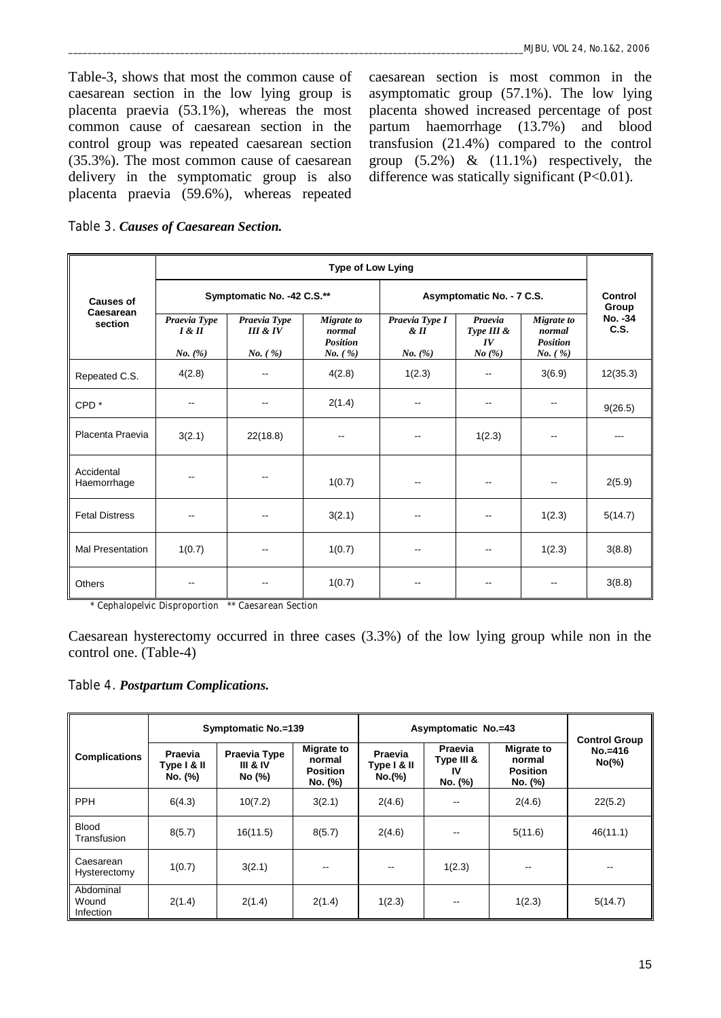Table-3, shows that most the common cause of caesarean section in the low lying group is placenta praevia (53.1%), whereas the most common cause of caesarean section in the control group was repeated caesarean section (35.3%). The most common cause of caesarean delivery in the symptomatic group is also placenta praevia (59.6%), whereas repeated

caesarean section is most common in the asymptomatic group (57.1%). The low lying placenta showed increased percentage of post partum haemorrhage (13.7%) and blood transfusion (21.4%) compared to the control group  $(5.2\%) \& (11.1\%)$  respectively, the difference was statically significant  $(P<0.01)$ .

**Table 3.** *Causes of Caesarean Section.*

|                           | Type of Low Lying                              |                                                |                                                      |                                                |                                      |                                                               |                 |  |  |
|---------------------------|------------------------------------------------|------------------------------------------------|------------------------------------------------------|------------------------------------------------|--------------------------------------|---------------------------------------------------------------|-----------------|--|--|
| <b>Causes of</b>          |                                                | Symptomatic No. -42 C.S.**                     |                                                      | Asymptomatic No. - 7 C.S.                      | Control<br>Group                     |                                                               |                 |  |  |
| Caesarean<br>section      | Praevia Type<br>$I \& II$<br><i>No.</i> $(\%)$ | Praevia Type<br>III & IV<br><i>No.</i> $(\% )$ | Migrate to<br>normal<br><b>Position</b><br>$No.$ (%) | Praevia Type I<br>$\&$ II<br><i>No.</i> $(\%)$ | Praevia<br>Type III &<br>IV<br>No(%) | Migrate to<br>normal<br><b>Position</b><br><i>No.</i> $(\% )$ | No. -34<br>C.S. |  |  |
| Repeated C.S.             | 4(2.8)                                         |                                                | 4(2.8)                                               | 1(2.3)                                         |                                      | 3(6.9)                                                        | 12(35.3)        |  |  |
| CPD <sup>*</sup>          |                                                | $\overline{\phantom{a}}$                       | 2(1.4)                                               | --                                             |                                      |                                                               | 9(26.5)         |  |  |
| Placenta Praevia          | 3(2.1)                                         | 22(18.8)                                       |                                                      |                                                | 1(2.3)                               |                                                               |                 |  |  |
| Accidental<br>Haemorrhage |                                                |                                                | 1(0.7)                                               | $-$                                            |                                      | --                                                            | 2(5.9)          |  |  |
| <b>Fetal Distress</b>     |                                                | --                                             | 3(2.1)                                               |                                                |                                      | 1(2.3)                                                        | 5(14.7)         |  |  |
| <b>Mal Presentation</b>   | 1(0.7)                                         |                                                | 1(0.7)                                               |                                                |                                      | 1(2.3)                                                        | 3(8.8)          |  |  |
| Others                    |                                                |                                                | 1(0.7)                                               |                                                |                                      |                                                               | 3(8.8)          |  |  |

**\* Cephalopelvic Disproportion \*\* Caesarean Section**

Caesarean hysterectomy occurred in three cases (3.3%) of the low lying group while non in the control one. (Table-4)

**Table 4.** *Postpartum Complications.*

|                                 | Symptomatic No.=139                      |                                               |                                                           | Asymptomatic No.=43              |                                        |                                                           | <b>Control Group</b>   |
|---------------------------------|------------------------------------------|-----------------------------------------------|-----------------------------------------------------------|----------------------------------|----------------------------------------|-----------------------------------------------------------|------------------------|
| <b>Complications</b>            | <b>Praevia</b><br>Type I & II<br>No. (%) | Praevia Type<br><b>III &amp; IV</b><br>No (%) | <b>Migrate to</b><br>normal<br><b>Position</b><br>No. (%) | Praevia<br>Type I & II<br>No.(%) | Praevia<br>Type III &<br>IV<br>No. (%) | <b>Migrate to</b><br>normal<br><b>Position</b><br>No. (%) | $No.=416$<br>$No(\% )$ |
| <b>PPH</b>                      | 6(4.3)                                   | 10(7.2)                                       | 3(2.1)                                                    | 2(4.6)                           |                                        | 2(4.6)                                                    | 22(5.2)                |
| <b>Blood</b><br>Transfusion     | 8(5.7)                                   | 16(11.5)                                      | 8(5.7)                                                    | 2(4.6)                           |                                        | 5(11.6)                                                   | 46(11.1)               |
| Caesarean<br>Hysterectomy       | 1(0.7)                                   | 3(2.1)                                        | --                                                        | $\sim$ $\sim$                    | 1(2.3)                                 | $\overline{\phantom{m}}$                                  | $- -$                  |
| Abdominal<br>Wound<br>Infection | 2(1.4)                                   | 2(1.4)                                        | 2(1.4)                                                    | 1(2.3)                           |                                        | 1(2.3)                                                    | 5(14.7)                |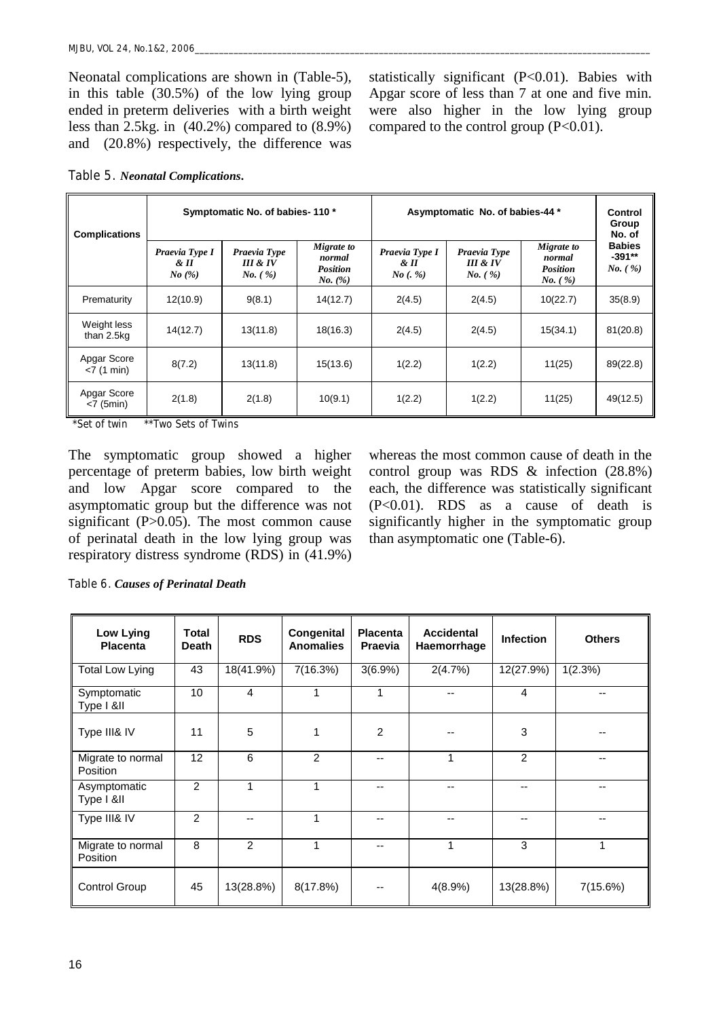Neonatal complications are shown in (Table-5), in this table (30.5%) of the low lying group ended in preterm deliveries with a birth weight less than 2.5kg. in (40.2%) compared to (8.9%) and (20.8%) respectively, the difference was statistically significant (P<0.01). Babies with Apgar score of less than 7 at one and five min. were also higher in the low lying group compared to the control group  $(P<0.01)$ .

| Table 5. Neonatal Complications. |  |
|----------------------------------|--|
|----------------------------------|--|

| <b>Complications</b>            | Symptomatic No. of babies-110*  |                                     |                                                    | Asymptomatic No. of babies-44 *      | Control<br>Group<br>No. of                                |                                                               |                                                |
|---------------------------------|---------------------------------|-------------------------------------|----------------------------------------------------|--------------------------------------|-----------------------------------------------------------|---------------------------------------------------------------|------------------------------------------------|
|                                 | Praevia Type I<br>& H<br>No~(%) | Praevia Type<br>III & IV<br>No. (%) | Migrate to<br>normal<br><b>Position</b><br>No. (%) | Praevia Type I<br>$\&$ II<br>No(. %) | Praevia Type<br><b>III &amp; IV</b><br><i>No.</i> $(\% )$ | Migrate to<br>normal<br><b>Position</b><br><i>No.</i> $(\% )$ | <b>Babies</b><br>$-391**$<br><i>No.</i> $(\%)$ |
| Prematurity                     | 12(10.9)                        | 9(8.1)                              | 14(12.7)                                           | 2(4.5)                               | 2(4.5)                                                    | 10(22.7)                                                      | 35(8.9)                                        |
| Weight less<br>than 2.5kg       | 14(12.7)                        | 13(11.8)                            | 18(16.3)                                           | 2(4.5)                               | 2(4.5)                                                    | 15(34.1)                                                      | 81(20.8)                                       |
| Apgar Score<br>$<$ 7 (1 min)    | 8(7.2)                          | 13(11.8)                            | 15(13.6)                                           | 1(2.2)                               | 1(2.2)                                                    | 11(25)                                                        | 89(22.8)                                       |
| Apgar Score<br>$< 7$ (5 $min$ ) | 2(1.8)                          | 2(1.8)                              | 10(9.1)                                            | 1(2.2)                               | 1(2.2)                                                    | 11(25)                                                        | 49(12.5)                                       |

**\*Set of twin \*\*Two Sets of Twins**

The symptomatic group showed a higher percentage of preterm babies, low birth weight and low Apgar score compared to the asymptomatic group but the difference was not significant  $(P>0.05)$ . The most common cause of perinatal death in the low lying group was respiratory distress syndrome (RDS) in (41.9%) whereas the most common cause of death in the control group was RDS & infection (28.8%) each, the difference was statistically significant (P<0.01). RDS as a cause of death is significantly higher in the symptomatic group than asymptomatic one (Table-6).

**Table 6.** *Causes of Perinatal Death*

| Low Lying<br><b>Placenta</b>         | <b>Total</b><br><b>Death</b> | <b>RDS</b>     | Congenital<br><b>Anomalies</b> | <b>Placenta</b><br><b>Praevia</b> | <b>Accidental</b><br>Haemorrhage | <b>Infection</b> | <b>Others</b> |
|--------------------------------------|------------------------------|----------------|--------------------------------|-----------------------------------|----------------------------------|------------------|---------------|
| <b>Total Low Lying</b>               | 43                           | 18(41.9%)      | 7(16.3%)                       | $3(6.9\%)$                        | 2(4.7%)                          | 12(27.9%)        | 1(2.3%)       |
| Symptomatic<br>Type I &II            | 10                           | 4              | 1                              |                                   | --                               | 4                | --            |
| Type III& IV                         | 11                           | 5              | 1                              | 2                                 | --                               | 3                | --            |
| Migrate to normal<br><b>Position</b> | 12                           | 6              | 2                              | --                                | 1                                | 2                | --            |
| Asymptomatic<br>Type I &II           | 2                            |                | 1                              |                                   |                                  | --               | --            |
| Type III& IV                         | 2                            | --             | 1                              | --                                |                                  | --               | --            |
| Migrate to normal<br>Position        | 8                            | $\mathfrak{p}$ | 1                              | --                                | 1                                | 3                | 1             |
| Control Group                        | 45                           | 13(28.8%)      | 8(17.8%)                       |                                   | 4(8.9%)                          | 13(28.8%)        | 7(15.6%)      |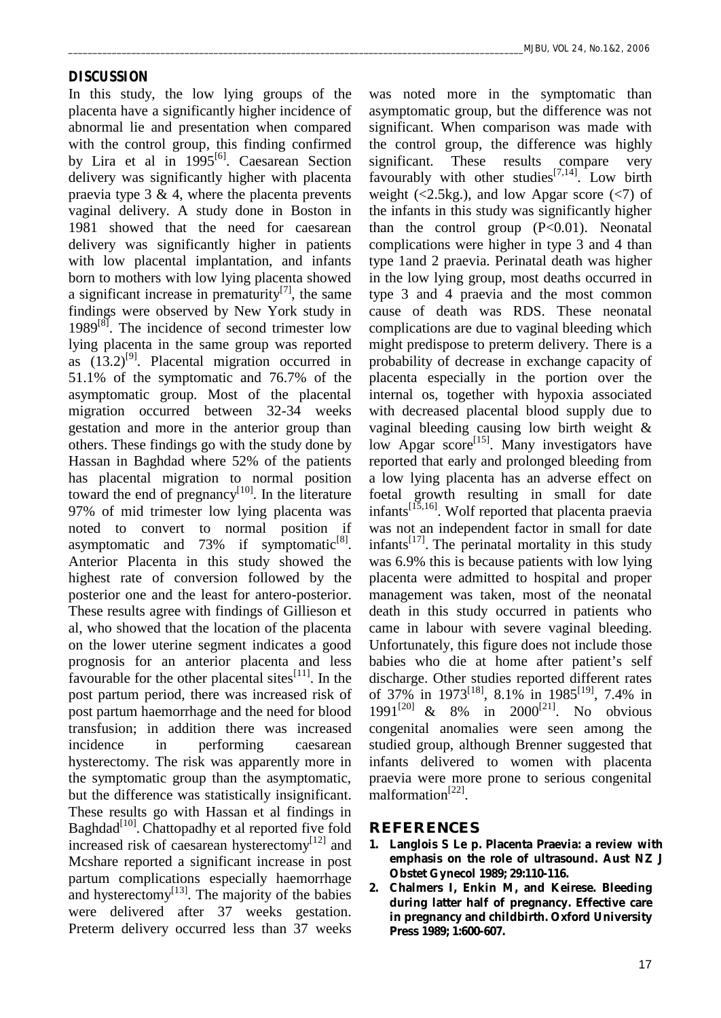#### **DISCUSSION**

In this study, the low lying groups of the placenta have a significantly higher incidence of abnormal lie and presentation when compared with the control group, this finding confirmed by Lira et al in 1995<sup>[6]</sup>. Caesarean Section delivery was significantly higher with placenta praevia type  $3 \& 4$ , where the placenta prevents vaginal delivery. A study done in Boston in 1981 showed that the need for caesarean delivery was significantly higher in patients with low placental implantation, and infants born to mothers with low lying placenta showed a significant increase in prematurity $[7]$ , the same findings were observed by New York study in  $1989^{[8]}$ . The incidence of second trimester low lying placenta in the same group was reported as  $(13.2)^{9}$ . Placental migration occurred in 51.1% of the symptomatic and 76.7% of the asymptomatic group. Most of the placental migration occurred between 32-34 weeks gestation and more in the anterior group than others. These findings go with the study done by Hassan in Baghdad where 52% of the patients has placental migration to normal position toward the end of pregnancy<sup>[10]</sup>. In the literature 97% of mid trimester low lying placenta was noted to convert to normal position if asymptomatic and 73% if symptomatic<sup>[8]</sup>. Anterior Placenta in this study showed the highest rate of conversion followed by the posterior one and the least for antero-posterior. These results agree with findings of Gillieson et al, who showed that the location of the placenta on the lower uterine segment indicates a good prognosis for an anterior placenta and less favourable for the other placental sites  $[11]$ . In the post partum period, there was increased risk of post partum haemorrhage and the need for blood transfusion; in addition there was increased incidence in performing caesarean hysterectomy. The risk was apparently more in the symptomatic group than the asymptomatic, but the difference was statistically insignificant. These results go with Hassan et al findings in Baghdad<sup>[10]</sup>. Chattopadhy et al reported five fold increased risk of caesarean hysterectomy<sup>[12]</sup> and Mcshare reported a significant increase in post partum complications especially haemorrhage and hysterectomy<sup>[13]</sup>. The majority of the babies were delivered after 37 weeks gestation. Preterm delivery occurred less than 37 weeks

was noted more in the symptomatic than asymptomatic group, but the difference was not significant. When comparison was made with the control group, the difference was highly significant. These results compare very favourably with other studies<sup>[7,14]</sup>. Low birth weight  $\left( \langle 2.5 \rangle \right)$ , and low Apgar score  $\left( \langle 7 \rangle \right)$  of the infants in this study was significantly higher than the control group  $(P<0.01)$ . Neonatal complications were higher in type 3 and 4 than type 1and 2 praevia. Perinatal death was higher in the low lying group, most deaths occurred in type 3 and 4 praevia and the most common cause of death was RDS. These neonatal complications are due to vaginal bleeding which might predispose to preterm delivery. There is a probability of decrease in exchange capacity of placenta especially in the portion over the internal os, together with hypoxia associated with decreased placental blood supply due to vaginal bleeding causing low birth weight & low Apgar score<sup>[15]</sup>. Many investigators have reported that early and prolonged bleeding from a low lying placenta has an adverse effect on foetal growth resulting in small for date infants<sup>[15,16]</sup>. Wolf reported that placenta praevia was not an independent factor in small for date infants<sup>[17]</sup>. The perinatal mortality in this study was 6.9% this is because patients with low lying placenta were admitted to hospital and proper management was taken, most of the neonatal death in this study occurred in patients who came in labour with severe vaginal bleeding. Unfortunately, this figure does not include those babies who die at home after patient's self discharge. Other studies reported different rates of 37% in 1973<sup>[18]</sup>, 8.1% in 1985<sup>[19]</sup>, 7.4% in 1991<sup>[20]</sup> & 8% in 2000<sup>[21]</sup>. No obvious congenital anomalies were seen among the studied group, although Brenner suggested that infants delivered to women with placenta praevia were more prone to serious congenital malformation<sup>[22]</sup>.

### **REFERENCES**

- **1. Langlois S Le p. Placenta Praevia: a review with emphasis on the role of ultrasound. Aust NZ J Obstet Gynecol 1989; 29:110-116.**
- **2. Chalmers I, Enkin M, and Keirese. Bleeding during latter half of pregnancy. Effective care in pregnancy and childbirth. Oxford University Press 1989; 1:600-607.**